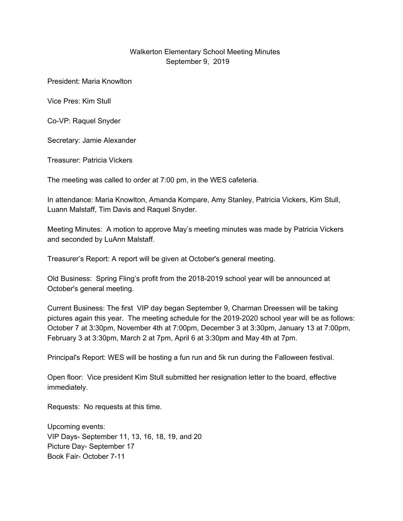## Walkerton Elementary School Meeting Minutes September 9, 2019

President: Maria Knowlton

Vice Pres: Kim Stull

Co-VP: Raquel Snyder

Secretary: Jamie Alexander

Treasurer: Patricia Vickers

The meeting was called to order at 7:00 pm, in the WES cafeteria.

In attendance: Maria Knowlton, Amanda Kompare, Amy Stanley, Patricia Vickers, Kim Stull, Luann Malstaff, Tim Davis and Raquel Snyder.

Meeting Minutes: A motion to approve May's meeting minutes was made by Patricia Vickers and seconded by LuAnn Malstaff.

Treasurer's Report: A report will be given at October's general meeting.

Old Business: Spring Fling's profit from the 2018-2019 school year will be announced at October's general meeting.

Current Business: The first VIP day began September 9, Charman Dreessen will be taking pictures again this year. The meeting schedule for the 2019-2020 school year will be as follows: October 7 at 3:30pm, November 4th at 7:00pm, December 3 at 3:30pm, January 13 at 7:00pm, February 3 at 3:30pm, March 2 at 7pm, April 6 at 3:30pm and May 4th at 7pm.

Principal's Report: WES will be hosting a fun run and 5k run during the Falloween festival.

Open floor: Vice president Kim Stull submitted her resignation letter to the board, effective immediately.

Requests: No requests at this time.

Upcoming events: VIP Days- September 11, 13, 16, 18, 19, and 20 Picture Day- September 17 Book Fair- October 7-11